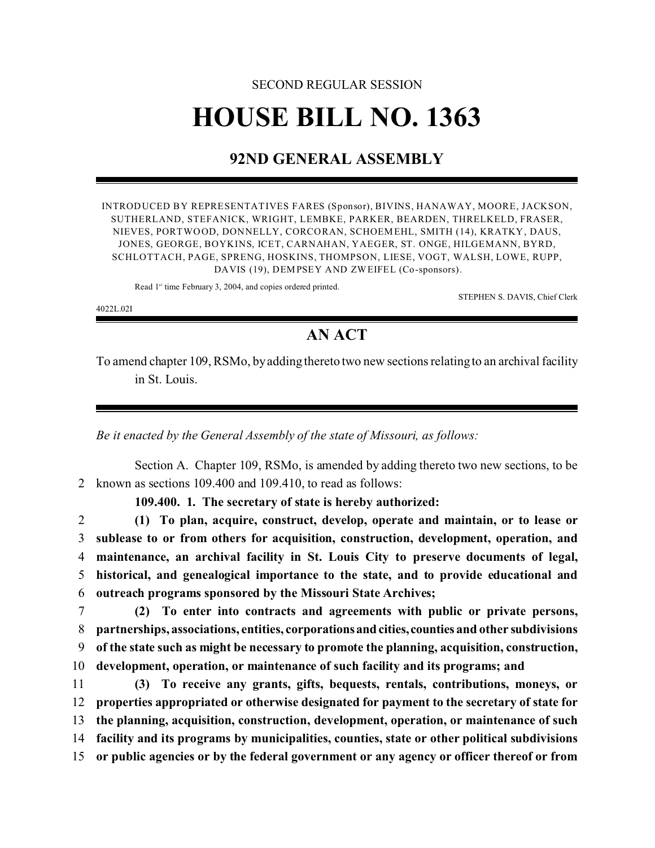## SECOND REGULAR SESSION **HOUSE BILL NO. 1363**

## **92ND GENERAL ASSEMBLY**

INTRODUCED BY REPRESENTATIVES FARES (Sponsor), BIVINS, HANAWAY, MOORE, JACKSON, SUTHERLAND, STEFANICK, WRIGHT, LEMBKE, PARKER, BEARDEN, THRELKELD, FRASER, NIEVES, PORTWOOD, DONNELLY, CORCORAN, SCHOEMEHL, SMITH (14), KRATKY, DAUS, JONES, GEORGE, BOYKINS, ICET, CARNAHAN, YAEGER, ST. ONGE, HILGEMANN, BYRD, SCHLOTTACH, PAGE, SPRENG, HOSKINS, THOMPSON, LIESE, VOGT, WALSH, LOWE, RUPP, DAVIS (19), DEMPSEY AND ZWEIFEL (Co-sponsors).

Read 1<sup>st</sup> time February 3, 2004, and copies ordered printed.

STEPHEN S. DAVIS, Chief Clerk

4022L.02I

## **AN ACT**

To amend chapter 109, RSMo, by adding thereto two new sections relating to an archival facility in St. Louis.

*Be it enacted by the General Assembly of the state of Missouri, as follows:*

Section A. Chapter 109, RSMo, is amended by adding thereto two new sections, to be 2 known as sections 109.400 and 109.410, to read as follows:

**109.400. 1. The secretary of state is hereby authorized:**

 **(1) To plan, acquire, construct, develop, operate and maintain, or to lease or sublease to or from others for acquisition, construction, development, operation, and maintenance, an archival facility in St. Louis City to preserve documents of legal, historical, and genealogical importance to the state, and to provide educational and outreach programs sponsored by the Missouri State Archives;**

- 7 **(2) To enter into contracts and agreements with public or private persons,** 8 **partnerships, associations, entities, corporationsandcities,counties and other subdivisions** 9 **of the state such as might be necessary to promote the planning, acquisition, construction,** 10 **development, operation, or maintenance of such facility and its programs; and**
- 11 **(3) To receive any grants, gifts, bequests, rentals, contributions, moneys, or** 12 **properties appropriated or otherwise designated for payment to the secretary of state for** 13 **the planning, acquisition, construction, development, operation, or maintenance of such** 14 **facility and its programs by municipalities, counties, state or other political subdivisions** 15 **or public agencies or by the federal government or any agency or officer thereof or from**